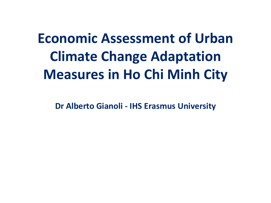## **Economic Assessment of Urban Climate Change Adaptation Measures in Ho Chi Minh City**

**Dr Alberto Gianoli - IHS Erasmus University**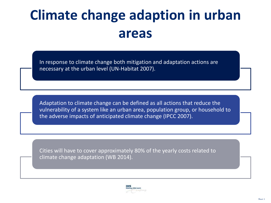## **Climate change adaption in urban areas**

In response to climate change both mitigation and adaptation actions are necessary at the urban level (UN-Habitat 2007).

Adaptation to climate change can be defined as all actions that reduce the vulnerability of a system like an urban area, population group, or household to the adverse impacts of anticipated climate change (IPCC 2007).

Cities will have to cover approximately 80% of the yearly costs related to climate change adaptation (WB 2014).

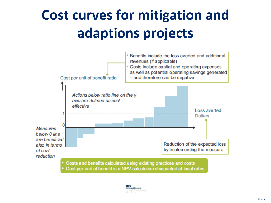# **Cost curves for mitigation and adaptions projects**



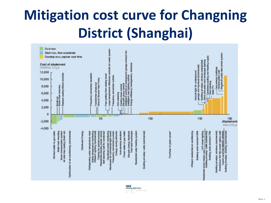# **Mitigation cost curve for Changning District (Shanghai)**



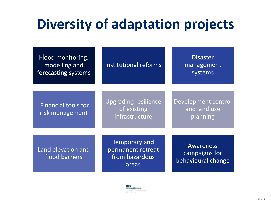## **Diversity of adaptation projects**

| Flood monitoring,<br>modelling and<br>forecasting systems | Institutional reforms                                         | <b>Disaster</b><br>management<br>systems         |
|-----------------------------------------------------------|---------------------------------------------------------------|--------------------------------------------------|
| <b>Financial tools for</b><br>risk management             | <b>Upgrading resilience</b><br>of existing<br>infrastructure  | Development control<br>and land use<br>planning  |
| Land elevation and<br>flood barriers                      | Temporary and<br>permanent retreat<br>from hazardous<br>areas | Awareness<br>campaigns for<br>behavioural change |

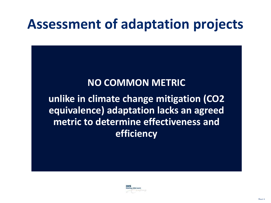#### **Assessment of adaptation projects**

#### **NO COMMON METRIC**

**unlike in climate change mitigation (CO2 equivalence) adaptation lacks an agreed metric to determine effectiveness and efficiency**

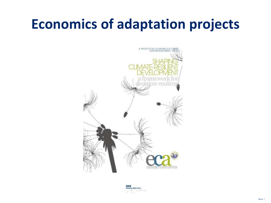#### **Economics of adaptation projects**



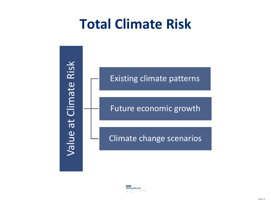#### **Total Climate Risk**



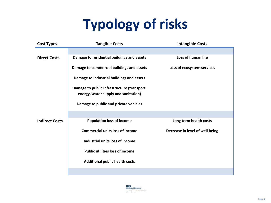# **Typology of risks**

| <b>Cost Types</b>     | <b>Tangible Costs</b>                       | <b>Intangible Costs</b>         |
|-----------------------|---------------------------------------------|---------------------------------|
|                       |                                             |                                 |
| <b>Direct Costs</b>   | Damage to residential buildings and assets  | Loss of human life              |
|                       | Damage to commercial buildings and assets   | Loss of ecosystem services      |
|                       | Damage to industrial buildings and assets   |                                 |
|                       | Damage to public infrastructure (transport, |                                 |
|                       | energy, water supply and sanitation)        |                                 |
|                       | Damage to public and private vehicles       |                                 |
|                       |                                             |                                 |
| <b>Indirect Costs</b> | <b>Population loss of income</b>            | Long term health costs          |
|                       | <b>Commercial units loss of income</b>      | Decrease in level of well being |
|                       | Industrial units loss of income             |                                 |
|                       | <b>Public utilities loss of income</b>      |                                 |
|                       | <b>Additional public health costs</b>       |                                 |
|                       |                                             |                                 |

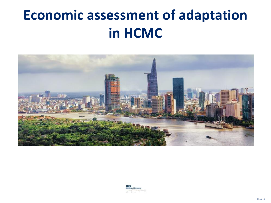## **Economic assessment of adaptation in HCMC**



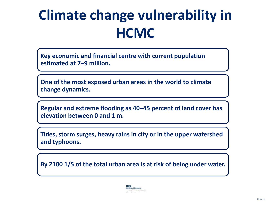## **Climate change vulnerability in HCMC**

**Key economic and financial centre with current population estimated at 7–9 million.**

**One of the most exposed urban areas in the world to climate change dynamics.**

**Regular and extreme flooding as 40–45 percent of land cover has elevation between 0 and 1 m.**

**Tides, storm surges, heavy rains in city or in the upper watershed and typhoons.**

**By 2100 1/5 of the total urban area is at risk of being under water.**

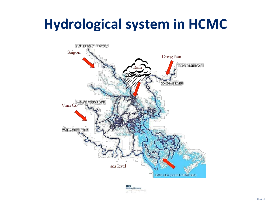## **Hydrological system in HCMC**



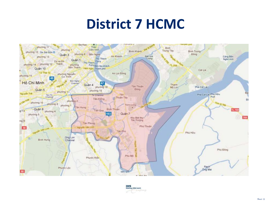#### **District 7 HCMC**



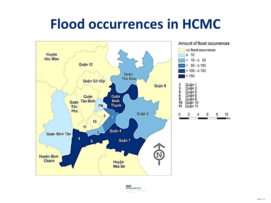#### **Flood occurrences in HCMC**



**IHS**<br>Making cities work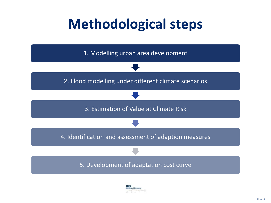## **Methodological steps**



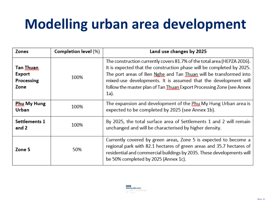## **Modelling urban area development**

| Zones                                     | Completion level (%) | Land use changes by 2025                                                                                                                                                                                                                                                                                                                                                  |
|-------------------------------------------|----------------------|---------------------------------------------------------------------------------------------------------------------------------------------------------------------------------------------------------------------------------------------------------------------------------------------------------------------------------------------------------------------------|
| Tan Thuạn<br>Export<br>Processing<br>Zone | 100%                 | The construction currently covers 81.7% of the total area (HEPZA 2016).<br>It is expected that the construction phase will be completed by 2025.<br>The port areas of Ben Nghe and Tan Thuan will be transformed into<br>mixed-use developments. It is assumed that the development will<br>follow the master plan of Tan Thuan Export Processing Zone (see Annex<br>1a). |
| Phy My Hung<br>Urban                      | 100%                 | The expansion and development of the Phy My Hung Urban area is<br>expected to be completed by 2025 (see Annex 1b).                                                                                                                                                                                                                                                        |
| Settlements 1<br>and 2                    | 100%                 | By 2025, the total surface area of Settlements 1 and 2 will remain<br>unchanged and will be characterised by higher density.                                                                                                                                                                                                                                              |
| Zone 5                                    | 50%                  | Currently covered by green areas, Zone 5 is expected to become a<br>regional park with 82.1 hectares of green areas and 35.7 hectares of<br>residential and commercial buildings by 2035. These developments will<br>be 50% completed by 2025 (Annex 1c).                                                                                                                 |

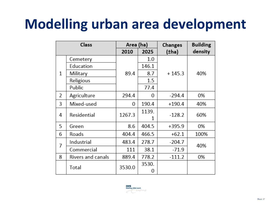## **Modelling urban area development**

| Class |                   | Area (ha) |            | Changes  | <b>Building</b> |
|-------|-------------------|-----------|------------|----------|-----------------|
|       |                   | 2010      | 2025       | (±ha)    | density         |
|       | Cemetery          |           | 1.0        |          |                 |
|       | Education         |           | 146.1      |          |                 |
| 1     | Military          | 89.4      | 8.7        | $+145.3$ | 40%             |
|       | Religious         |           | 1.5        |          |                 |
|       | Public            |           | 77.4       |          |                 |
| 2     | Agriculture       | 294.4     | 0          | $-294.4$ | 0%              |
| 3     | Mixed-used        | 0         | 190.4      | $+190.4$ | 40%             |
| 4     | Residential       | 1267.3    | 1139.<br>1 | $-128.2$ | 60%             |
| 5     | Green             | 8.6       | 404.5      | $+395.9$ | 0%              |
| 6     | Roads             | 404.4     | 466.5      | $+62.1$  | 100%            |
| 7     | Industrial        | 483.4     | 278.7      | $-204.7$ | 40%             |
|       | Commercial        | 111       | 38.1       | $-71.9$  |                 |
| 8     | Rivers and canals | 889.4     | 778.2      | $-111.2$ | 0%              |
|       | Total             | 3530.0    | 3530.      |          |                 |
|       |                   |           | 0          |          |                 |

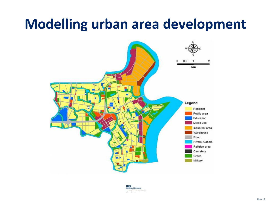#### **Modelling urban area development**



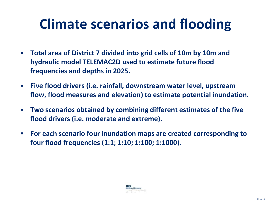## **Climate scenarios and flooding**

- **Total area of District 7 divided into grid cells of 10m by 10m and hydraulic model TELEMAC2D used to estimate future flood frequencies and depths in 2025.**
- **Five flood drivers (i.e. rainfall, downstream water level, upstream flow, flood measures and elevation) to estimate potential inundation.**
- **Two scenarios obtained by combining different estimates of the five flood drivers (i.e. moderate and extreme).**
- **For each scenario four inundation maps are created corresponding to four flood frequencies (1:1; 1:10; 1:100; 1:1000).**

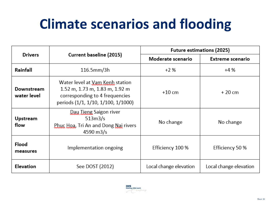## **Climate scenarios and flooding**

|                           |                                                                                                                                                  | <b>Future estimations (2025)</b> |                        |  |  |  |
|---------------------------|--------------------------------------------------------------------------------------------------------------------------------------------------|----------------------------------|------------------------|--|--|--|
| <b>Drivers</b>            | Current baseline (2015)                                                                                                                          | Moderate scenario                | Extreme scenario       |  |  |  |
| Rainfall                  | 116.5mm/3h                                                                                                                                       | $+2%$                            | +4 %                   |  |  |  |
| Downstream<br>water level | Water level at <u>Vam Kenh</u> station<br>1.52 m, 1.73 m, 1.83 m, 1.92 m<br>corresponding to 4 frequencies<br>periods (1/1, 1/10, 1/100, 1/1000) | $+10$ cm                         | $+20$ cm               |  |  |  |
| Upstream<br>flow          | <b>Day Tieng Saigon river</b><br>513m3/s<br>Phục Hoa, Tri An and Dong Nai rivers<br>4590 m3/s                                                    | No change                        | No change              |  |  |  |
| Flood<br>measures         | Implementation ongoing                                                                                                                           | Efficiency 100 %                 | Efficiency 50 %        |  |  |  |
| Elevation                 | See DOST (2012)                                                                                                                                  | Local change elevation           | Local change elevation |  |  |  |

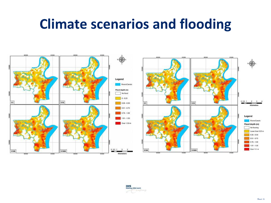#### **Climate scenarios and flooding**





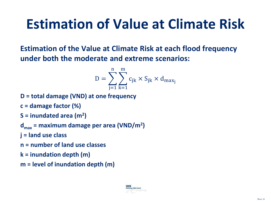**Estimation of the Value at Climate Risk at each flood frequency under both the moderate and extreme scenarios:**

$$
D = \sum_{j=1}^{n} \sum_{k=1}^{m} c_{jk} \times S_{jk} \times d_{max_j}
$$

**D = total damage (VND) at one frequency**

- **c = damage factor (%)**
- **S = inundated area (m2)**

$$
d_{\text{max}}
$$
 = maximum damage per area (VND/m<sup>2</sup>)

- **j = land use class**
- **n = number of land use classes**
- **k = inundation depth (m)**
- **m = level of inundation depth (m)**

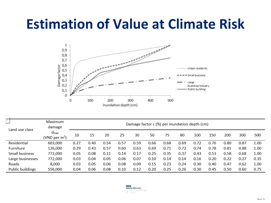

| Maximum<br>damage<br>Land use class | Damage factor c (%) per inundation depth (cm) |      |      |      |      |      |      |      |      |      |      |      |      |      |
|-------------------------------------|-----------------------------------------------|------|------|------|------|------|------|------|------|------|------|------|------|------|
|                                     | $d_{\text{max}}$<br>(VND per m <sup>2</sup> ) | 10   | 15   | 20   | 25   | 30   | 50   | 75   | 80   | 100  | 150  | 200  | 300  | 500  |
| Residential                         | 603,000                                       | 0.27 | 0.40 | 0.54 | 0.57 | 0.59 | 0.66 | 0.68 | 0.69 | 0.72 | 0.76 | 0.80 | 0.87 | 1.00 |
| Furniture                           | 126,000                                       | 0.29 | 0.43 | 0.57 | 0.60 | 0.63 | 0.69 | 0.71 | 0.72 | 0.74 | 0.78 | 0.81 | 0.88 | 1.00 |
| Small business                      | 772,000                                       | 0.05 | 0.08 | 0.11 | 0.14 | 0.17 | 0.25 | 0.35 | 0.37 | 0.43 | 0.53 | 0.58 | 0.68 | 1.00 |
| Large businesses                    | 772,000                                       | 0.03 | 0.04 | 0.05 | 0.06 | 0.07 | 0.10 | 0.14 | 0.14 | 0.16 | 0.20 | 0.22 | 0.27 | 0.35 |
| Roads                               | 8,000                                         | 0.03 | 0.05 | 0.06 | 0.08 | 0.09 | 0.15 | 0.23 | 0.24 | 0.30 | 0.40 | 0.47 | 0.62 | 1.00 |
| Public buildings                    | 556,000                                       | 0.04 | 0.06 | 0.08 | 0.10 | 0.12 | 0.20 | 0.25 | 0.26 | 0.30 | 0.45 | 0.50 | 0.60 | 0.75 |

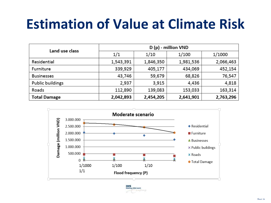| Land use class      | D (p) - million VND |           |           |           |  |  |  |
|---------------------|---------------------|-----------|-----------|-----------|--|--|--|
|                     | 1/1                 | 1/10      | 1/100     | 1/1000    |  |  |  |
| Residential         | 1,543,391           | 1,846,350 | 1,981,536 | 2,066,463 |  |  |  |
| Furniture           | 339,929             | 405,177   | 434,069   | 452,154   |  |  |  |
| <b>Businesses</b>   | 43,746              | 59,679    | 68,826    | 76,547    |  |  |  |
| Public buildings    | 2,937               | 3,915     | 4,436     | 4,818     |  |  |  |
| Roads               | 112,890             | 139,083   | 153,033   | 163,314   |  |  |  |
| <b>Total Damage</b> | 2,042,893           | 2,454,205 | 2,641,901 | 2,763,296 |  |  |  |



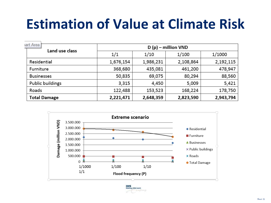| art Area<br>Land use class | D (p) - million VND |           |           |           |  |  |
|----------------------------|---------------------|-----------|-----------|-----------|--|--|
|                            | 1/1                 | 1/10      | 1/100     | 1/1000    |  |  |
| Residential                | 1,676,154           | 1,986,231 | 2,108,864 | 2,192,115 |  |  |
| Furniture                  | 368,680             | 435,081   | 461,200   | 478,947   |  |  |
| <b>Businesses</b>          | 50,835              | 69,075    | 80,294    | 88,560    |  |  |
| Public buildings           | 3,315               | 4,450     | 5,009     | 5,421     |  |  |
| Roads                      | 122,488             | 153,523   | 168,224   | 178,750   |  |  |
| <b>Total Damage</b>        | 2,221,471           | 2,648,359 | 2,823,590 | 2,943,794 |  |  |

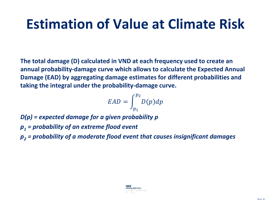**The total damage (D) calculated in VND at each frequency used to create an annual probability-damage curve which allows to calculate the Expected Annual Damage (EAD) by aggregating damage estimates for different probabilities and taking the integral under the probability-damage curve.**

$$
EAD = \int_{p_1}^{p_2} D(p) dp
$$

*D(p) = expected damage for a given probability p p1 = probability of an extreme flood event p2 = probability of a moderate flood event that causes insignificant damages*

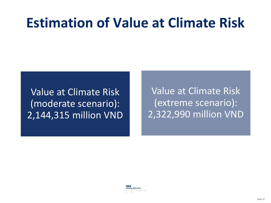Value at Climate Risk (moderate scenario): 2,144,315 million VND

Value at Climate Risk (extreme scenario): 2,322,990 million VND

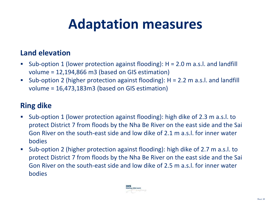## **Adaptation measures**

#### **Land elevation**

- Sub-option 1 (lower protection against flooding): H = 2.0 m a.s.l. and landfill volume = 12,194,866 m3 (based on GIS estimation)
- Sub-option 2 (higher protection against flooding):  $H = 2.2$  m a.s.l. and landfill volume = 16,473,183m3 (based on GIS estimation)

#### **Ring dike**

- Sub-option 1 (lower protection against flooding): high dike of 2.3 m a.s.l. to protect District 7 from floods by the Nha Be River on the east side and the Sai Gon River on the south-east side and low dike of 2.1 m a.s.l. for inner water bodies
- Sub-option 2 (higher protection against flooding): high dike of 2.7 m a.s.l. to protect District 7 from floods by the Nha Be River on the east side and the Sai Gon River on the south-east side and low dike of 2.5 m a.s.l. for inner water bodies

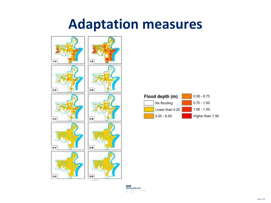#### **Adaptation measures**



| Flood depth (m) | $0.50 - 0.75$    |
|-----------------|------------------|
| No flooding     | $0.75 - 1.00$    |
| Lower than 0.25 | $1.00 - 1.50$    |
| $0.25 - 0.50$   | Higher than 1.50 |

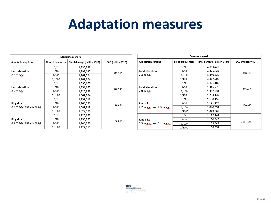#### **Adaptation measures**

| Moderate scenario            |                          |                                   |                          |  |  |  |
|------------------------------|--------------------------|-----------------------------------|--------------------------|--|--|--|
| <b>Adaptation options</b>    | <b>Flood frequencies</b> | <b>Total damage (million VND)</b> | <b>EAD (million VND)</b> |  |  |  |
|                              | 1/1                      | 1,336,338                         |                          |  |  |  |
| Land elevation               | 1/10                     | 1,297,035                         |                          |  |  |  |
| 2.2 m a.s.l.                 | 1/100                    | 1,269,524                         | 1,313,310                |  |  |  |
|                              | 1/1000                   | 1,287,904                         |                          |  |  |  |
|                              | 1/1                      | 1,393,600                         |                          |  |  |  |
| Land elevation               | 1/10                     | 1,354,657                         |                          |  |  |  |
| 2.0 m a.s.l.                 | 1/100                    | 1,326,883                         | 1,370,545                |  |  |  |
|                              | 1/1000                   | 1,307,074                         |                          |  |  |  |
|                              | 1/1                      | 1,157,319                         |                          |  |  |  |
| Ring dike                    | 1/10                     | 1,104,386                         |                          |  |  |  |
| 2.7 m a.s.l. and 2.5 m a.s.l | 1/100                    | 1,082,919                         | 1,126,694                |  |  |  |
|                              | 1/1000                   | 1,022,580                         |                          |  |  |  |
|                              | 1/1                      | 1,226,690                         |                          |  |  |  |
| Ring dike                    | 1/10                     | 1,155,955                         |                          |  |  |  |
| 2.3 m a.s.l. and 2.1 m a.s.l | 1/100                    | 1,140,086                         | 1,186,815                |  |  |  |
|                              | 1/1000                   | 1,122,111                         |                          |  |  |  |

| <b>Extreme scenario</b>                           |                          |                            |                          |  |  |  |
|---------------------------------------------------|--------------------------|----------------------------|--------------------------|--|--|--|
| <b>Adaptation options</b>                         | <b>Flood frequencies</b> | Total damage (million VND) | <b>EAD (million VND)</b> |  |  |  |
|                                                   | 1/1                      | 1,344,837                  |                          |  |  |  |
| Land elevation                                    | 1/10                     | 1,291,436                  |                          |  |  |  |
| 2.2 m a.s.l.                                      | 1/100                    | 1,340,529                  | 1,318,427                |  |  |  |
|                                                   | 1/1000                   | 1,387,907                  |                          |  |  |  |
|                                                   | 1/1                      | 1,401,186                  |                          |  |  |  |
| Land elevation                                    | 1/10                     | 1,346,770                  |                          |  |  |  |
| 2.0 m a.s.l.                                      | 1/100                    | 1,317,231                  | 1,369,451                |  |  |  |
|                                                   | 1/1000                   | 1,284,137                  |                          |  |  |  |
|                                                   | 1/1                      | 1,130,152                  |                          |  |  |  |
| Ring dike                                         | 1/10                     | 1,121,426                  |                          |  |  |  |
| $2.7 \text{ m}$ a.s.l. and $2.5 \text{ m}$ a.s.l. | 1/100                    | 1,040,651                  | 1,120,925                |  |  |  |
|                                                   | 1/1000                   | 1,043,369                  |                          |  |  |  |
|                                                   | 1/1                      | 1,192,741                  |                          |  |  |  |
| Ring dike                                         | 1/10                     | 1,150,445                  |                          |  |  |  |
| $2.3 \text{ m}$ a.s.l. and $2.1 \text{ m}$ a.s.l. | 1/100                    | 1,128,447                  | 1,168,148                |  |  |  |
|                                                   | 1/1000                   | 1,106,551                  |                          |  |  |  |

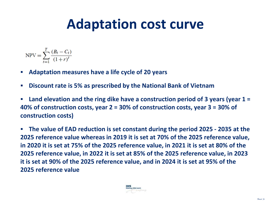#### **Adaptation cost curve**

$$
NPV = \sum_{t=1}^{T} \frac{(B_t - C_t)}{(1+r)^t}
$$

- **Adaptation measures have a life cycle of 20 years**
- **Discount rate is 5% as prescribed by the National Bank of Vietnam**

 **Land elevation and the ring dike have a construction period of 3 years (year 1 = 40% of construction costs, year 2 = 30% of construction costs, year 3 = 30% of construction costs)**

 **The value of EAD reduction is set constant during the period 2025 - 2035 at the 2025 reference value whereas in 2019 it is set at 70% of the 2025 reference value, in 2020 it is set at 75% of the 2025 reference value, in 2021 it is set at 80% of the 2025 reference value, in 2022 it is set at 85% of the 2025 reference value, in 2023 it is set at 90% of the 2025 reference value, and in 2024 it is set at 95% of the 2025 reference value**

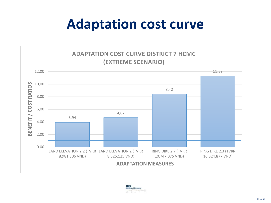#### **Adaptation cost curve**



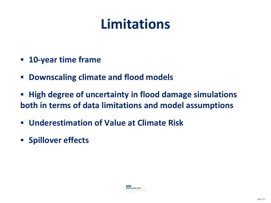## **Limitations**

- **10-year time frame**
- **Downscaling climate and flood models**
- **High degree of uncertainty in flood damage simulations both in terms of data limitations and model assumptions**
- **Underestimation of Value at Climate Risk**
- **Spillover effects**

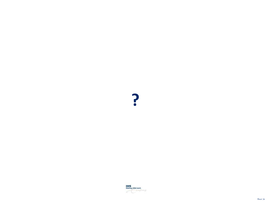**?**